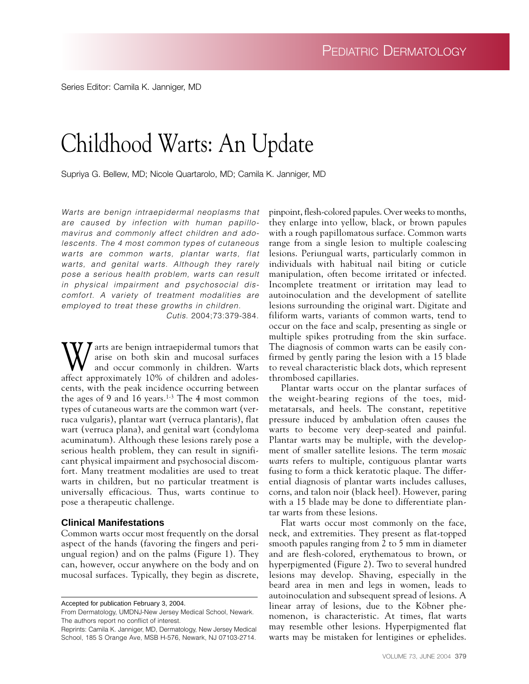Series Editor: Camila K. Janniger, MD

# Childhood Warts: An Update

Supriya G. Bellew, MD; Nicole Quartarolo, MD; Camila K. Janniger, MD

*Warts are benign intraepidermal neoplasms that are caused by infection with human papillomavirus and commonly affect children and adolescents. The 4 most common types of cutaneous warts are common warts, plantar warts, flat warts, and genital warts. Although they rarely pose a serious health problem, warts can result in physical impairment and psychosocial discomfort. A variety of treatment modalities are employed to treat these growths in children.*

*Cutis*. 2004;73:379-384.

 $\sum_{n=1}^{\infty}$  arts are benign intraepidermal tumors that arise on both skin and mucosal surfaces and occur commonly in children. Warts affect approximately 10% of children and adolescents, with the peak incidence occurring between the ages of 9 and 16 years.<sup>1-3</sup> The 4 most common types of cutaneous warts are the common wart (verruca vulgaris), plantar wart (verruca plantaris), flat wart (verruca plana), and genital wart (condyloma acuminatum). Although these lesions rarely pose a serious health problem, they can result in significant physical impairment and psychosocial discomfort. Many treatment modalities are used to treat warts in children, but no particular treatment is universally efficacious. Thus, warts continue to pose a therapeutic challenge.

#### **Clinical Manifestations**

Common warts occur most frequently on the dorsal aspect of the hands (favoring the fingers and periungual region) and on the palms (Figure 1). They can, however, occur anywhere on the body and on mucosal surfaces. Typically, they begin as discrete,

Accepted for publication February 3, 2004.

From Dermatology, UMDNJ-New Jersey Medical School, Newark. The authors report no conflict of interest.

Reprints: Camila K. Janniger, MD, Dermatology, New Jersey Medical School, 185 S Orange Ave, MSB H-576, Newark, NJ 07103-2714.

pinpoint, flesh-colored papules. Over weeks to months, they enlarge into yellow, black, or brown papules with a rough papillomatous surface. Common warts range from a single lesion to multiple coalescing lesions. Periungual warts, particularly common in individuals with habitual nail biting or cuticle manipulation, often become irritated or infected. Incomplete treatment or irritation may lead to autoinoculation and the development of satellite lesions surrounding the original wart. Digitate and filiform warts, variants of common warts, tend to occur on the face and scalp, presenting as single or multiple spikes protruding from the skin surface. The diagnosis of common warts can be easily confirmed by gently paring the lesion with a 15 blade to reveal characteristic black dots, which represent thrombosed capillaries.

Plantar warts occur on the plantar surfaces of the weight-bearing regions of the toes, midmetatarsals, and heels. The constant, repetitive pressure induced by ambulation often causes the warts to become very deep-seated and painful. Plantar warts may be multiple, with the development of smaller satellite lesions. The term *mosaic warts* refers to multiple, contiguous plantar warts fusing to form a thick keratotic plaque. The differential diagnosis of plantar warts includes calluses, corns, and talon noir (black heel). However, paring with a 15 blade may be done to differentiate plantar warts from these lesions.

Flat warts occur most commonly on the face, neck, and extremities. They present as flat-topped smooth papules ranging from 2 to 5 mm in diameter and are flesh-colored, erythematous to brown, or hyperpigmented (Figure 2). Two to several hundred lesions may develop. Shaving, especially in the beard area in men and legs in women, leads to autoinoculation and subsequent spread of lesions. A linear array of lesions, due to the Köbner phenomenon, is characteristic. At times, flat warts may resemble other lesions. Hyperpigmented flat warts may be mistaken for lentigines or ephelides.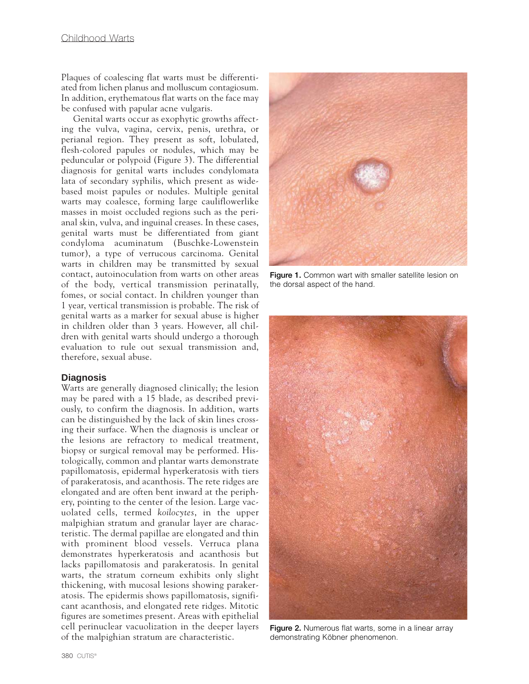Plaques of coalescing flat warts must be differentiated from lichen planus and molluscum contagiosum. In addition, erythematous flat warts on the face may be confused with papular acne vulgaris.

Genital warts occur as exophytic growths affecting the vulva, vagina, cervix, penis, urethra, or perianal region. They present as soft, lobulated, flesh-colored papules or nodules, which may be peduncular or polypoid (Figure 3). The differential diagnosis for genital warts includes condylomata lata of secondary syphilis, which present as widebased moist papules or nodules. Multiple genital warts may coalesce, forming large cauliflowerlike masses in moist occluded regions such as the perianal skin, vulva, and inguinal creases. In these cases, genital warts must be differentiated from giant condyloma acuminatum (Buschke-Lowenstein tumor), a type of verrucous carcinoma. Genital warts in children may be transmitted by sexual contact, autoinoculation from warts on other areas of the body, vertical transmission perinatally, fomes, or social contact. In children younger than 1 year, vertical transmission is probable. The risk of genital warts as a marker for sexual abuse is higher in children older than 3 years. However, all children with genital warts should undergo a thorough evaluation to rule out sexual transmission and, therefore, sexual abuse.

#### **Diagnosis**

Warts are generally diagnosed clinically; the lesion may be pared with a 15 blade, as described previously, to confirm the diagnosis. In addition, warts can be distinguished by the lack of skin lines crossing their surface. When the diagnosis is unclear or the lesions are refractory to medical treatment, biopsy or surgical removal may be performed. Histologically, common and plantar warts demonstrate papillomatosis, epidermal hyperkeratosis with tiers of parakeratosis, and acanthosis. The rete ridges are elongated and are often bent inward at the periphery, pointing to the center of the lesion. Large vacuolated cells, termed *koilocytes*, in the upper malpighian stratum and granular layer are characteristic. The dermal papillae are elongated and thin with prominent blood vessels. Verruca plana demonstrates hyperkeratosis and acanthosis but lacks papillomatosis and parakeratosis. In genital warts, the stratum corneum exhibits only slight thickening, with mucosal lesions showing parakeratosis. The epidermis shows papillomatosis, significant acanthosis, and elongated rete ridges. Mitotic figures are sometimes present. Areas with epithelial cell perinuclear vacuolization in the deeper layers of the malpighian stratum are characteristic.



Figure 1. Common wart with smaller satellite lesion on the dorsal aspect of the hand.



**Figure 2.** Numerous flat warts, some in a linear array demonstrating Köbner phenomenon.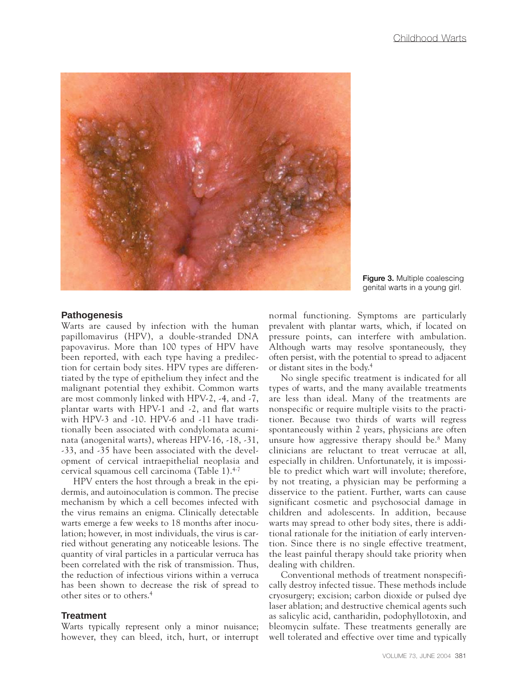

**Figure 3.** Multiple coalescing genital warts in a young girl.

#### **Pathogenesis**

Warts are caused by infection with the human papillomavirus (HPV), a double-stranded DNA papovavirus. More than 100 types of HPV have been reported, with each type having a predilection for certain body sites. HPV types are differentiated by the type of epithelium they infect and the malignant potential they exhibit. Common warts are most commonly linked with HPV-2, -4, and -7, plantar warts with HPV-1 and -2, and flat warts with HPV-3 and -10. HPV-6 and -11 have traditionally been associated with condylomata acuminata (anogenital warts), whereas HPV-16, -18, -31, -33, and -35 have been associated with the development of cervical intraepithelial neoplasia and cervical squamous cell carcinoma (Table 1).4-7

HPV enters the host through a break in the epidermis, and autoinoculation is common. The precise mechanism by which a cell becomes infected with the virus remains an enigma. Clinically detectable warts emerge a few weeks to 18 months after inoculation; however, in most individuals, the virus is carried without generating any noticeable lesions. The quantity of viral particles in a particular verruca has been correlated with the risk of transmission. Thus, the reduction of infectious virions within a verruca has been shown to decrease the risk of spread to other sites or to others.4

#### **Treatment**

Warts typically represent only a minor nuisance; however, they can bleed, itch, hurt, or interrupt

normal functioning. Symptoms are particularly prevalent with plantar warts, which, if located on pressure points, can interfere with ambulation. Although warts may resolve spontaneously, they often persist, with the potential to spread to adjacent or distant sites in the body.4

No single specific treatment is indicated for all types of warts, and the many available treatments are less than ideal. Many of the treatments are nonspecific or require multiple visits to the practitioner. Because two thirds of warts will regress spontaneously within 2 years, physicians are often unsure how aggressive therapy should be.8 Many clinicians are reluctant to treat verrucae at all, especially in children. Unfortunately, it is impossible to predict which wart will involute; therefore, by not treating, a physician may be performing a disservice to the patient. Further, warts can cause significant cosmetic and psychosocial damage in children and adolescents. In addition, because warts may spread to other body sites, there is additional rationale for the initiation of early intervention. Since there is no single effective treatment, the least painful therapy should take priority when dealing with children.

Conventional methods of treatment nonspecifically destroy infected tissue. These methods include cryosurgery; excision; carbon dioxide or pulsed dye laser ablation; and destructive chemical agents such as salicylic acid, cantharidin, podophyllotoxin, and bleomycin sulfate. These treatments generally are well tolerated and effective over time and typically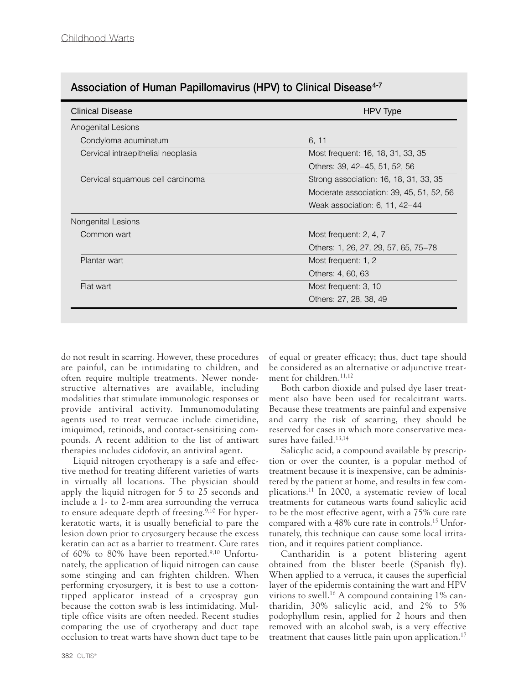| <b>Clinical Disease</b>            | HPV Type                                 |
|------------------------------------|------------------------------------------|
| Anogenital Lesions                 |                                          |
| Condyloma acuminatum               | 6, 11                                    |
| Cervical intraepithelial neoplasia | Most frequent: 16, 18, 31, 33, 35        |
|                                    | Others: 39, 42–45, 51, 52, 56            |
| Cervical squamous cell carcinoma   | Strong association: 16, 18, 31, 33, 35   |
|                                    | Moderate association: 39, 45, 51, 52, 56 |
|                                    | Weak association: 6, 11, 42–44           |
| Nongenital Lesions                 |                                          |
| Common wart                        | Most frequent: 2, 4, 7                   |
|                                    | Others: 1, 26, 27, 29, 57, 65, 75–78     |
| Plantar wart                       | Most frequent: 1, 2                      |
|                                    | Others: 4, 60, 63                        |
| Flat wart                          | Most frequent: 3, 10                     |
|                                    | Others: 27, 28, 38, 49                   |

## **Association of Human Papillomavirus (HPV) to Clinical Disease4-7**

do not result in scarring. However, these procedures are painful, can be intimidating to children, and often require multiple treatments. Newer nondestructive alternatives are available, including modalities that stimulate immunologic responses or provide antiviral activity. Immunomodulating agents used to treat verrucae include cimetidine, imiquimod, retinoids, and contact-sensitizing compounds. A recent addition to the list of antiwart therapies includes cidofovir, an antiviral agent.

Liquid nitrogen cryotherapy is a safe and effective method for treating different varieties of warts in virtually all locations. The physician should apply the liquid nitrogen for 5 to 25 seconds and include a 1- to 2-mm area surrounding the verruca to ensure adequate depth of freezing.<sup>9,10</sup> For hyperkeratotic warts, it is usually beneficial to pare the lesion down prior to cryosurgery because the excess keratin can act as a barrier to treatment. Cure rates of 60% to 80% have been reported.9,10 Unfortunately, the application of liquid nitrogen can cause some stinging and can frighten children. When performing cryosurgery, it is best to use a cottontipped applicator instead of a cryospray gun because the cotton swab is less intimidating. Multiple office visits are often needed. Recent studies comparing the use of cryotherapy and duct tape occlusion to treat warts have shown duct tape to be

of equal or greater efficacy; thus, duct tape should be considered as an alternative or adjunctive treatment for children.<sup>11,12</sup>

Both carbon dioxide and pulsed dye laser treatment also have been used for recalcitrant warts. Because these treatments are painful and expensive and carry the risk of scarring, they should be reserved for cases in which more conservative measures have failed.13,14

Salicylic acid, a compound available by prescription or over the counter, is a popular method of treatment because it is inexpensive, can be administered by the patient at home, and results in few complications.11 In 2000, a systematic review of local treatments for cutaneous warts found salicylic acid to be the most effective agent, with a 75% cure rate compared with a 48% cure rate in controls.15 Unfortunately, this technique can cause some local irritation, and it requires patient compliance.

Cantharidin is a potent blistering agent obtained from the blister beetle (Spanish fly). When applied to a verruca, it causes the superficial layer of the epidermis containing the wart and HPV virions to swell.16 A compound containing 1% cantharidin, 30% salicylic acid, and 2% to 5% podophyllum resin, applied for 2 hours and then removed with an alcohol swab, is a very effective treatment that causes little pain upon application.<sup>17</sup>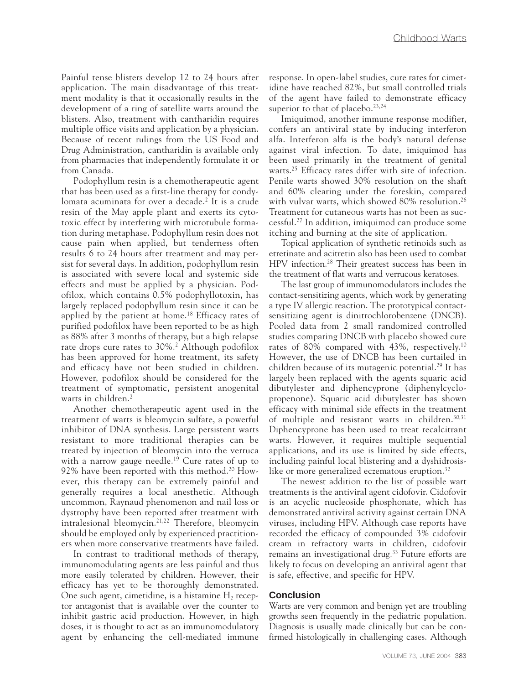Painful tense blisters develop 12 to 24 hours after application. The main disadvantage of this treatment modality is that it occasionally results in the development of a ring of satellite warts around the blisters. Also, treatment with cantharidin requires multiple office visits and application by a physician. Because of recent rulings from the US Food and Drug Administration, cantharidin is available only from pharmacies that independently formulate it or from Canada.

Podophyllum resin is a chemotherapeutic agent that has been used as a first-line therapy for condylomata acuminata for over a decade.<sup>2</sup> It is a crude resin of the May apple plant and exerts its cytotoxic effect by interfering with microtubule formation during metaphase. Podophyllum resin does not cause pain when applied, but tenderness often results 6 to 24 hours after treatment and may persist for several days. In addition, podophyllum resin is associated with severe local and systemic side effects and must be applied by a physician. Podofilox, which contains 0.5% podophyllotoxin, has largely replaced podophyllum resin since it can be applied by the patient at home.18 Efficacy rates of purified podofilox have been reported to be as high as 88% after 3 months of therapy, but a high relapse rate drops cure rates to 30%.<sup>2</sup> Although podofilox has been approved for home treatment, its safety and efficacy have not been studied in children. However, podofilox should be considered for the treatment of symptomatic, persistent anogenital warts in children.<sup>2</sup>

Another chemotherapeutic agent used in the treatment of warts is bleomycin sulfate, a powerful inhibitor of DNA synthesis. Large persistent warts resistant to more traditional therapies can be treated by injection of bleomycin into the verruca with a narrow gauge needle.<sup>19</sup> Cure rates of up to 92% have been reported with this method.<sup>20</sup> However, this therapy can be extremely painful and generally requires a local anesthetic. Although uncommon, Raynaud phenomenon and nail loss or dystrophy have been reported after treatment with intralesional bleomycin.<sup>21,22</sup> Therefore, bleomycin should be employed only by experienced practitioners when more conservative treatments have failed.

In contrast to traditional methods of therapy, immunomodulating agents are less painful and thus more easily tolerated by children. However, their efficacy has yet to be thoroughly demonstrated. One such agent, cimetidine, is a histamine  $H_2$  receptor antagonist that is available over the counter to inhibit gastric acid production. However, in high doses, it is thought to act as an immunomodulatory agent by enhancing the cell-mediated immune response. In open-label studies, cure rates for cimetidine have reached 82%, but small controlled trials of the agent have failed to demonstrate efficacy superior to that of placebo.<sup>23,24</sup>

Imiquimod, another immune response modifier, confers an antiviral state by inducing interferon alfa. Interferon alfa is the body's natural defense against viral infection. To date, imiquimod has been used primarily in the treatment of genital warts.<sup>25</sup> Efficacy rates differ with site of infection. Penile warts showed 30% resolution on the shaft and 60% clearing under the foreskin, compared with vulvar warts, which showed 80% resolution.<sup>26</sup> Treatment for cutaneous warts has not been as successful.27 In addition, imiquimod can produce some itching and burning at the site of application.

Topical application of synthetic retinoids such as etretinate and acitretin also has been used to combat HPV infection.28 Their greatest success has been in the treatment of flat warts and verrucous keratoses.

The last group of immunomodulators includes the contact-sensitizing agents, which work by generating a type IV allergic reaction. The prototypical contactsensitizing agent is dinitrochlorobenzene (DNCB). Pooled data from 2 small randomized controlled studies comparing DNCB with placebo showed cure rates of 80% compared with 43%, respectively.10 However, the use of DNCB has been curtailed in children because of its mutagenic potential.29 It has largely been replaced with the agents squaric acid dibutylester and diphencyprone (diphenylcyclopropenone). Squaric acid dibutylester has shown efficacy with minimal side effects in the treatment of multiple and resistant warts in children.<sup>30,31</sup> Diphencyprone has been used to treat recalcitrant warts. However, it requires multiple sequential applications, and its use is limited by side effects, including painful local blistering and a dyshidrosislike or more generalized eczematous eruption.<sup>32</sup>

The newest addition to the list of possible wart treatments is the antiviral agent cidofovir. Cidofovir is an acyclic nucleoside phosphonate, which has demonstrated antiviral activity against certain DNA viruses, including HPV. Although case reports have recorded the efficacy of compounded 3% cidofovir cream in refractory warts in children, cidofovir remains an investigational drug.33 Future efforts are likely to focus on developing an antiviral agent that is safe, effective, and specific for HPV.

#### **Conclusion**

Warts are very common and benign yet are troubling growths seen frequently in the pediatric population. Diagnosis is usually made clinically but can be confirmed histologically in challenging cases. Although